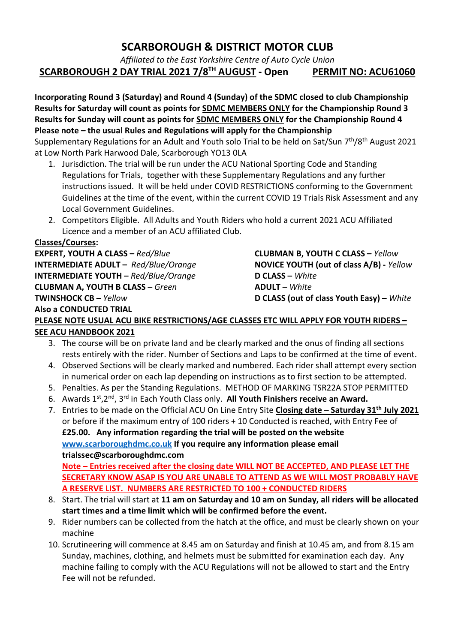# SCARBOROUGH & DISTRICT MOTOR CLUB

Affiliated to the East Yorkshire Centre of Auto Cycle Union SCARBOROUGH 2 DAY TRIAL 2021 7/8<sup>TH</sup> AUGUST - Open PERMIT NO: ACU61060

Incorporating Round 3 (Saturday) and Round 4 (Sunday) of the SDMC closed to club Championship Results for Saturday will count as points for **SDMC MEMBERS ONLY** for the Championship Round 3 Results for Sunday will count as points for **SDMC MEMBERS ONLY** for the Championship Round 4 Please note – the usual Rules and Regulations will apply for the Championship Supplementary Regulations for an Adult and Youth solo Trial to be held on Sat/Sun 7<sup>th</sup>/8<sup>th</sup> August 2021 at Low North Park Harwood Dale, Scarborough YO13 0LA

- 1. Jurisdiction. The trial will be run under the ACU National Sporting Code and Standing Regulations for Trials, together with these Supplementary Regulations and any further instructions issued. It will be held under COVID RESTRICTIONS conforming to the Government Guidelines at the time of the event, within the current COVID 19 Trials Risk Assessment and any Local Government Guidelines.
- 2. Competitors Eligible. All Adults and Youth Riders who hold a current 2021 ACU Affiliated Licence and a member of an ACU affiliated Club.

#### Classes/Courses:

EXPERT, YOUTH A CLASS – Red/Blue CLUBMAN B, YOUTH C CLASS – Yellow INTERMEDIATE ADULT – Red/Blue/Orange NOVICE YOUTH (out of class A/B) - Yellow INTERMEDIATE YOUTH –  $Red/Blue/Orange$  D CLASS – White CLUBMAN A, YOUTH B CLASS – Green ADULT – White TWINSHOCK CB – Yellow D CLASS (out of class Youth Easy) – White Also a CONDUCTED TRIAL

## PLEASE NOTE USUAL ACU BIKE RESTRICTIONS/AGE CLASSES ETC WILL APPLY FOR YOUTH RIDERS – SEE ACU HANDBOOK 2021

- 3. The course will be on private land and be clearly marked and the onus of finding all sections rests entirely with the rider. Number of Sections and Laps to be confirmed at the time of event.
- 4. Observed Sections will be clearly marked and numbered. Each rider shall attempt every section in numerical order on each lap depending on instructions as to first section to be attempted.
- 5. Penalties. As per the Standing Regulations. METHOD OF MARKING TSR22A STOP PERMITTED
- 6. Awards  $1^{st}$ ,  $2^{nd}$ ,  $3^{rd}$  in Each Youth Class only. All Youth Finishers receive an Award.
- 7. Entries to be made on the Official ACU On Line Entry Site Closing date Saturday 31<sup>th</sup> July 2021 or before if the maximum entry of 100 riders + 10 Conducted is reached, with Entry Fee of £25.00. Any information regarding the trial will be posted on the website www.scarboroughdmc.co.uk If you require any information please email trialssec@scarboroughdmc.com Note – Entries received after the closing date WILL NOT BE ACCEPTED, AND PLEASE LET THE

SECRETARY KNOW ASAP IS YOU ARE UNABLE TO ATTEND AS WE WILL MOST PROBABLY HAVE A RESERVE LIST. NUMBERS ARE RESTRICTED TO 100 + CONDUCTED RIDERS

- 8. Start. The trial will start at 11 am on Saturday and 10 am on Sunday, all riders will be allocated start times and a time limit which will be confirmed before the event.
- 9. Rider numbers can be collected from the hatch at the office, and must be clearly shown on your machine
- 10. Scrutineering will commence at 8.45 am on Saturday and finish at 10.45 am, and from 8.15 am Sunday, machines, clothing, and helmets must be submitted for examination each day. Any machine failing to comply with the ACU Regulations will not be allowed to start and the Entry Fee will not be refunded.